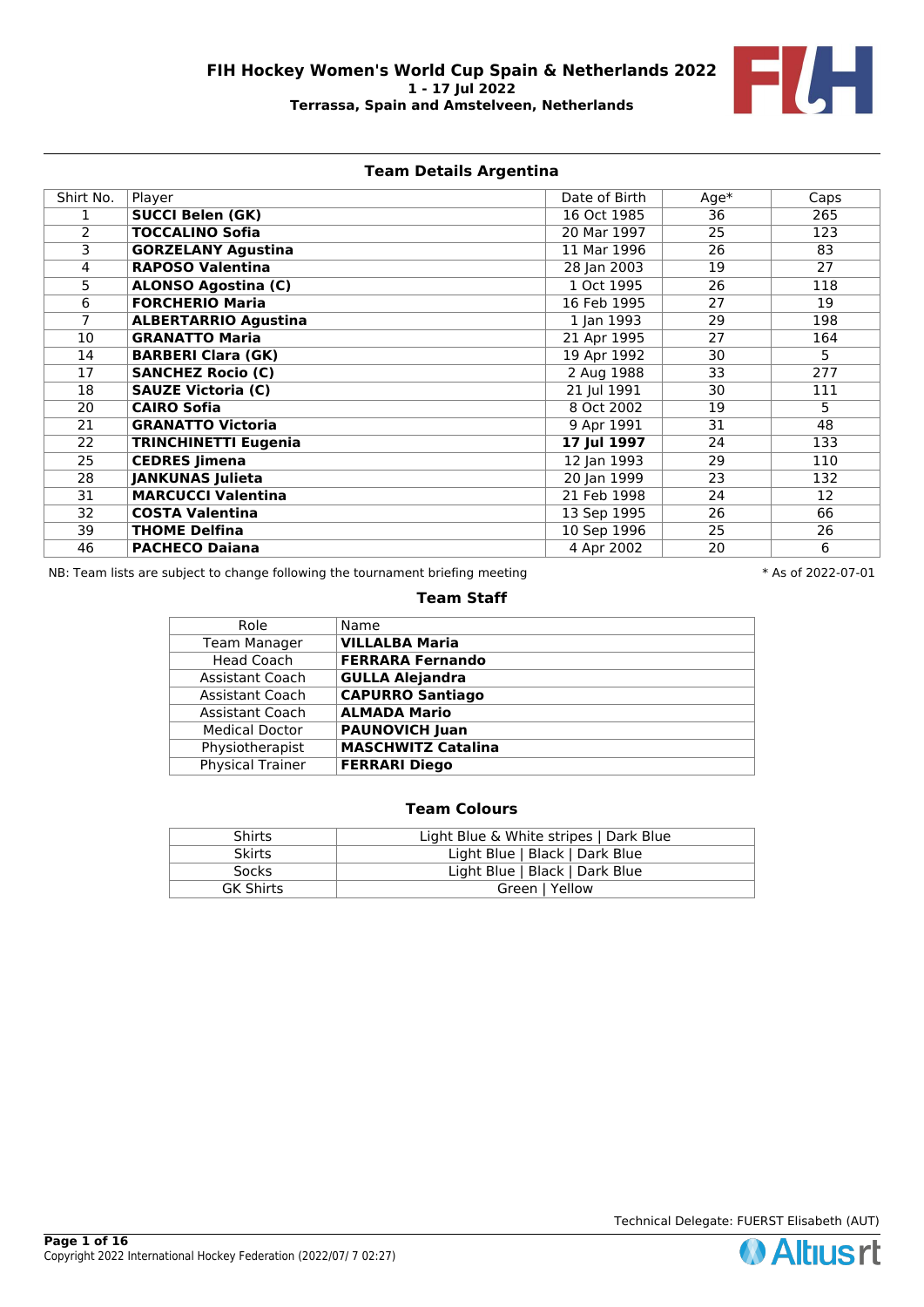

# **Team Details Argentina**

| Shirt No. | Player                      | Date of Birth | $Age*$ | Caps |
|-----------|-----------------------------|---------------|--------|------|
|           | <b>SUCCI Belen (GK)</b>     | 16 Oct 1985   | 36     | 265  |
| 2         | <b>TOCCALINO Sofia</b>      | 20 Mar 1997   | 25     | 123  |
| 3         | <b>GORZELANY Agustina</b>   | 11 Mar 1996   | 26     | 83   |
| 4         | <b>RAPOSO Valentina</b>     | 28 Jan 2003   | 19     | 27   |
| 5         | <b>ALONSO Agostina (C)</b>  | 1 Oct 1995    | 26     | 118  |
| 6         | <b>FORCHERIO Maria</b>      | 16 Feb 1995   | 27     | 19   |
| 7         | <b>ALBERTARRIO Agustina</b> | 1 Jan 1993    | 29     | 198  |
| 10        | <b>GRANATTO Maria</b>       | 21 Apr 1995   | 27     | 164  |
| 14        | <b>BARBERI Clara (GK)</b>   | 19 Apr 1992   | 30     | 5.   |
| 17        | <b>SANCHEZ Rocio (C)</b>    | 2 Aug 1988    | 33     | 277  |
| 18        | <b>SAUZE Victoria (C)</b>   | 21 Jul 1991   | 30     | 111  |
| 20        | <b>CAIRO Sofia</b>          | 8 Oct 2002    | 19     | 5    |
| 21        | <b>GRANATTO Victoria</b>    | 9 Apr 1991    | 31     | 48   |
| 22        | <b>TRINCHINETTI Eugenia</b> | 17 Jul 1997   | 24     | 133  |
| 25        | <b>CEDRES Jimena</b>        | 12 Jan 1993   | 29     | 110  |
| 28        | <b>JANKUNAS Julieta</b>     | 20 Jan 1999   | 23     | 132  |
| 31        | <b>MARCUCCI Valentina</b>   | 21 Feb 1998   | 24     | 12   |
| 32        | <b>COSTA Valentina</b>      | 13 Sep 1995   | 26     | 66   |
| 39        | <b>THOME Delfina</b>        | 10 Sep 1996   | 25     | 26   |
| 46        | <b>PACHECO Daiana</b>       | 4 Apr 2002    | 20     | 6    |

NB: Team lists are subject to change following the tournament briefing meeting  $* A s$  of 2022-07-01

### **Team Staff**

| Role                    | Name                      |
|-------------------------|---------------------------|
| <b>Team Manager</b>     | <b>VILLALBA Maria</b>     |
| <b>Head Coach</b>       | <b>FERRARA Fernando</b>   |
| Assistant Coach         | <b>GULLA Alejandra</b>    |
| Assistant Coach         | <b>CAPURRO Santiago</b>   |
| Assistant Coach         | <b>ALMADA Mario</b>       |
| <b>Medical Doctor</b>   | <b>PAUNOVICH Juan</b>     |
| Physiotherapist         | <b>MASCHWITZ Catalina</b> |
| <b>Physical Trainer</b> | <b>FERRARI Diego</b>      |
|                         |                           |

# **Team Colours**

| Shirts                             | Light Blue & White stripes   Dark Blue |  |  |
|------------------------------------|----------------------------------------|--|--|
| <b>Skirts</b>                      | Light Blue   Black   Dark Blue         |  |  |
| Socks                              | Light Blue   Black   Dark Blue         |  |  |
| <b>GK Shirts</b><br>Green   Yellow |                                        |  |  |

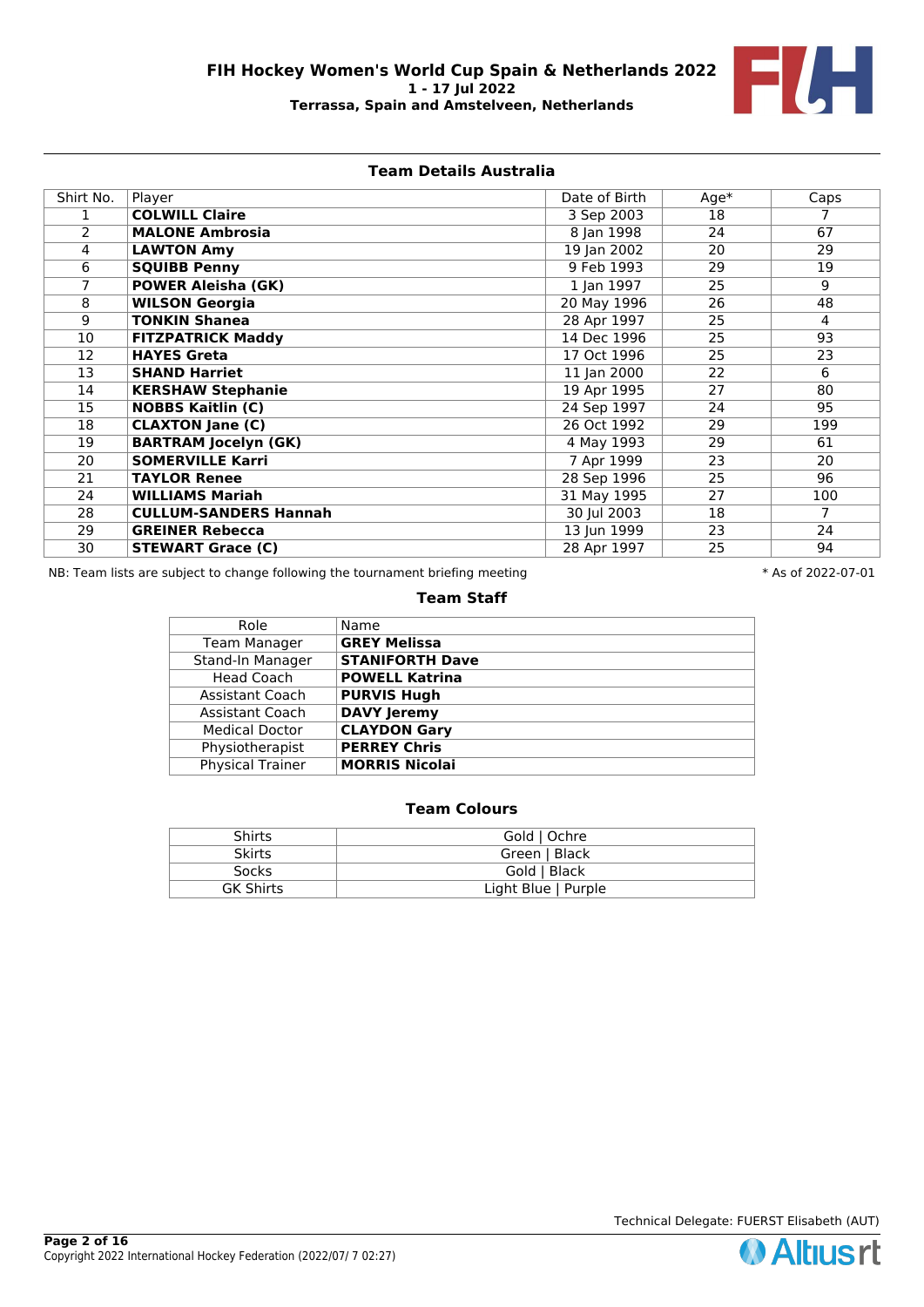

## **Team Details Australia**

| Shirt No.      | Player                       | Date of Birth | $Age*$ | Caps           |
|----------------|------------------------------|---------------|--------|----------------|
|                | <b>COLWILL Claire</b>        | 3 Sep 2003    | 18     |                |
| $\overline{2}$ | <b>MALONE Ambrosia</b>       | 8 Jan 1998    | 24     | 67             |
| 4              | <b>LAWTON Amy</b>            | 19 Jan 2002   | 20     | 29             |
| 6              | <b>SQUIBB Penny</b>          | 9 Feb 1993    | 29     | 19             |
| 7              | <b>POWER Aleisha (GK)</b>    | 1 Jan 1997    | 25     | 9              |
| 8              | <b>WILSON Georgia</b>        | 20 May 1996   | 26     | 48             |
| 9              | <b>TONKIN Shanea</b>         | 28 Apr 1997   | 25     | 4              |
| 10             | <b>FITZPATRICK Maddy</b>     | 14 Dec 1996   | 25     | 93             |
| 12             | <b>HAYES Greta</b>           | 17 Oct 1996   | 25     | 23             |
| 13             | <b>SHAND Harriet</b>         | 11 Jan 2000   | 22     | 6              |
| 14             | <b>KERSHAW Stephanie</b>     | 19 Apr 1995   | 27     | 80             |
| 15             | <b>NOBBS Kaitlin (C)</b>     | 24 Sep 1997   | 24     | 95             |
| 18             | <b>CLAXTON Jane (C)</b>      | 26 Oct 1992   | 29     | 199            |
| 19             | <b>BARTRAM Jocelyn (GK)</b>  | 4 May 1993    | 29     | 61             |
| 20             | <b>SOMERVILLE Karri</b>      | 7 Apr 1999    | 23     | 20             |
| 21             | <b>TAYLOR Renee</b>          | 28 Sep 1996   | 25     | 96             |
| 24             | <b>WILLIAMS Mariah</b>       | 31 May 1995   | 27     | 100            |
| 28             | <b>CULLUM-SANDERS Hannah</b> | 30 Jul 2003   | 18     | $\overline{7}$ |
| 29             | <b>GREINER Rebecca</b>       | 13 Jun 1999   | 23     | 24             |
| 30             | <b>STEWART Grace (C)</b>     | 28 Apr 1997   | 25     | 94             |

NB: Team lists are subject to change following the tournament briefing meeting  $* A s$  of 2022-07-01

### **Team Staff**

| Role                    | Name                   |
|-------------------------|------------------------|
| <b>Team Manager</b>     | <b>GREY Melissa</b>    |
| Stand-In Manager        | <b>STANIFORTH Dave</b> |
| <b>Head Coach</b>       | <b>POWELL Katrina</b>  |
| Assistant Coach         | <b>PURVIS Hugh</b>     |
| Assistant Coach         | <b>DAVY Jeremy</b>     |
| <b>Medical Doctor</b>   | <b>CLAYDON Gary</b>    |
| Physiotherapist         | <b>PERREY Chris</b>    |
| <b>Physical Trainer</b> | <b>MORRIS Nicolai</b>  |
|                         |                        |

# **Team Colours**

| <b>Shirts</b>    | Gold   Ochre        |
|------------------|---------------------|
| <b>Skirts</b>    | Green   Black       |
| Socks            | Gold   Black        |
| <b>GK Shirts</b> | Light Blue   Purple |

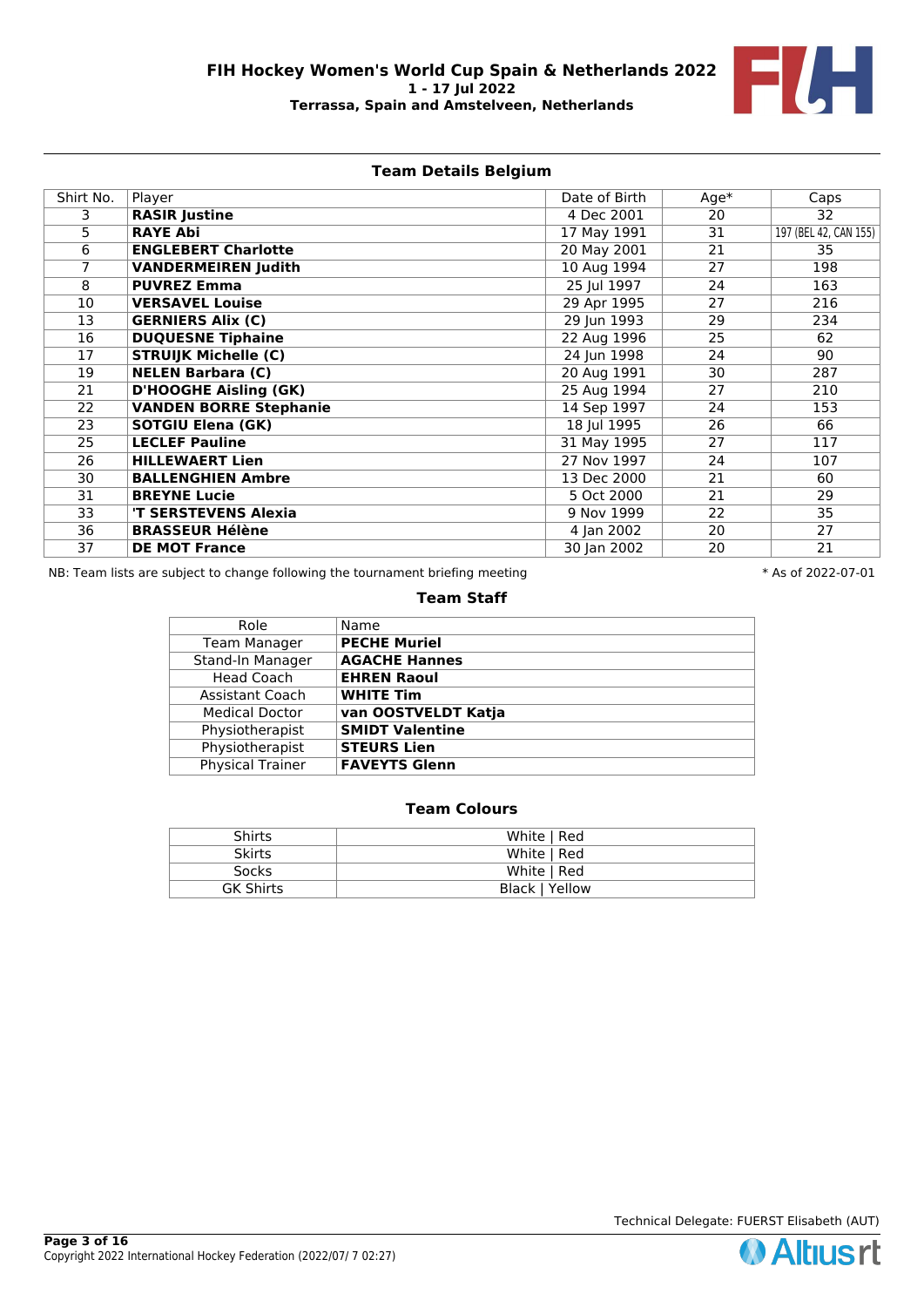

# **Team Details Belgium**

| Shirt No.       | Player                        | Date of Birth | $Age*$ | Caps                  |
|-----------------|-------------------------------|---------------|--------|-----------------------|
| 3.              | <b>RASIR Justine</b>          | 4 Dec 2001    | 20     | 32                    |
| 5               | <b>RAYE Abi</b>               | 17 May 1991   | 31     | 197 (BEL 42, CAN 155) |
| 6               | <b>ENGLEBERT Charlotte</b>    | 20 May 2001   | 21     | 35                    |
|                 | <b>VANDERMEIREN Judith</b>    | 10 Aug 1994   | 27     | 198                   |
| 8               | <b>PUVREZ Emma</b>            | 25 Jul 1997   | 24     | 163                   |
| 10              | <b>VERSAVEL Louise</b>        | 29 Apr 1995   | 27     | 216                   |
| 13              | <b>GERNIERS Alix (C)</b>      | 29 Jun 1993   | 29     | 234                   |
| 16              | <b>DUQUESNE Tiphaine</b>      | 22 Aug 1996   | 25     | 62                    |
| 17              | <b>STRUIJK Michelle (C)</b>   | 24 Jun 1998   | 24     | 90                    |
| 19              | <b>NELEN Barbara (C)</b>      | 20 Aug 1991   | 30     | 287                   |
| 21              | <b>D'HOOGHE Aisling (GK)</b>  | 25 Aug 1994   | 27     | 210                   |
| 22              | <b>VANDEN BORRE Stephanie</b> | 14 Sep 1997   | 24     | 153                   |
| $\overline{23}$ | <b>SOTGIU Elena (GK)</b>      | 18 Jul 1995   | 26     | 66                    |
| 25              | <b>LECLEF Pauline</b>         | 31 May 1995   | 27     | 117                   |
| 26              | <b>HILLEWAERT Lien</b>        | 27 Nov 1997   | 24     | 107                   |
| 30              | <b>BALLENGHIEN Ambre</b>      | 13 Dec 2000   | 21     | 60                    |
| 31              | <b>BREYNE Lucie</b>           | 5 Oct 2000    | 21     | 29                    |
| 33              | 'T SERSTEVENS Alexia          | 9 Nov 1999    | 22     | 35                    |
| 36              | <b>BRASSEUR Hélène</b>        | 4 Jan 2002    | 20     | 27                    |
| 37              | <b>DE MOT France</b>          | 30 Jan 2002   | 20     | 21                    |

NB: Team lists are subject to change following the tournament briefing meeting  $* A s$  of 2022-07-01

### **Team Staff**

| Role                    | Name                   |
|-------------------------|------------------------|
| <b>Team Manager</b>     | <b>PECHE Muriel</b>    |
| Stand-In Manager        | <b>AGACHE Hannes</b>   |
| <b>Head Coach</b>       | <b>EHREN Raoul</b>     |
| <b>Assistant Coach</b>  | <b>WHITE Tim</b>       |
| <b>Medical Doctor</b>   | van OOSTVELDT Katja    |
| Physiotherapist         | <b>SMIDT Valentine</b> |
| Physiotherapist         | <b>STEURS Lien</b>     |
| <b>Physical Trainer</b> | <b>FAVEYTS Glenn</b>   |
|                         |                        |

# **Team Colours**

| Shirts           | White   Red    |
|------------------|----------------|
| <b>Skirts</b>    | White   Red    |
| Socks            | White   Red    |
| <b>GK Shirts</b> | Black   Yellow |

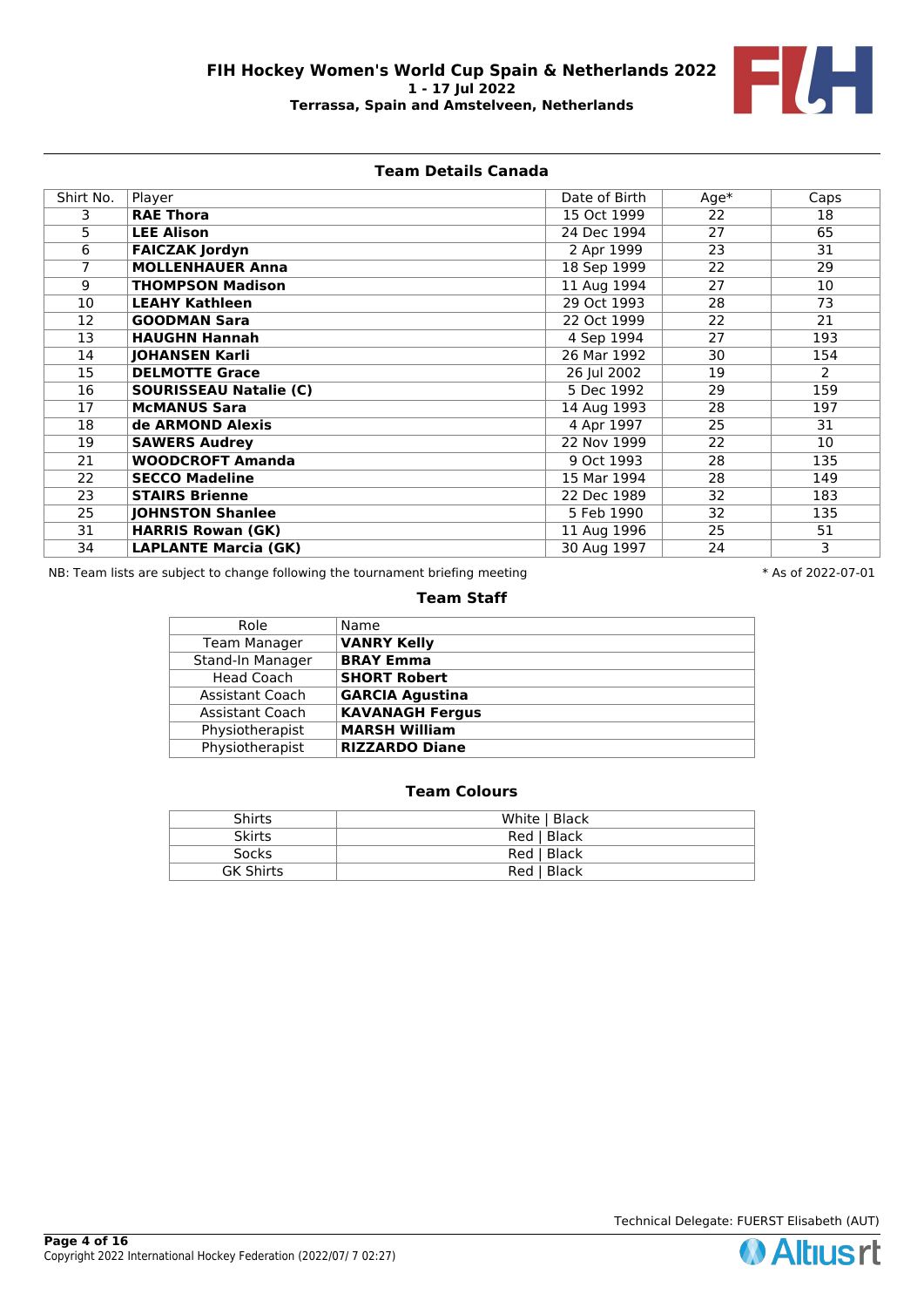

## **Team Details Canada**

| Shirt No. | Player                        | Date of Birth | $Age*$          | Caps |
|-----------|-------------------------------|---------------|-----------------|------|
| 3.        | <b>RAE Thora</b>              | 15 Oct 1999   | $\overline{22}$ | 18   |
| 5         | <b>LEE Alison</b>             | 24 Dec 1994   | 27              | 65   |
| 6         | <b>FAICZAK Jordyn</b>         | 2 Apr 1999    | 23              | 31   |
| 7         | <b>MOLLENHAUER Anna</b>       | 18 Sep 1999   | 22              | 29   |
| 9         | <b>THOMPSON Madison</b>       | 11 Aug 1994   | 27              | 10   |
| 10        | <b>LEAHY Kathleen</b>         | 29 Oct 1993   | 28              | 73   |
| 12        | <b>GOODMAN Sara</b>           | 22 Oct 1999   | 22              | 21   |
| 13        | <b>HAUGHN Hannah</b>          | 4 Sep 1994    | 27              | 193  |
| 14        | <b>JOHANSEN Karli</b>         | 26 Mar 1992   | 30              | 154  |
| 15        | <b>DELMOTTE Grace</b>         | 26 Jul 2002   | 19              | 2    |
| 16        | <b>SOURISSEAU Natalie (C)</b> | 5 Dec 1992    | 29              | 159  |
| 17        | <b>McMANUS Sara</b>           | 14 Aug 1993   | 28              | 197  |
| 18        | de ARMOND Alexis              | 4 Apr 1997    | 25              | 31   |
| 19        | <b>SAWERS Audrey</b>          | 22 Nov 1999   | 22              | 10   |
| 21        | <b>WOODCROFT Amanda</b>       | 9 Oct 1993    | 28              | 135  |
| 22        | <b>SECCO Madeline</b>         | 15 Mar 1994   | 28              | 149  |
| 23        | <b>STAIRS Brienne</b>         | 22 Dec 1989   | 32              | 183  |
| 25        | <b>JOHNSTON Shanlee</b>       | 5 Feb 1990    | 32              | 135  |
| 31        | <b>HARRIS Rowan (GK)</b>      | 11 Aug 1996   | 25              | 51   |
| 34        | <b>LAPLANTE Marcia (GK)</b>   | 30 Aug 1997   | 24              | 3    |

NB: Team lists are subject to change following the tournament briefing meeting  $* A s$  of 2022-07-01

### **Team Staff**

| Role                | Name                   |
|---------------------|------------------------|
| <b>Team Manager</b> | <b>VANRY Kelly</b>     |
| Stand-In Manager    | <b>BRAY Emma</b>       |
| <b>Head Coach</b>   | <b>SHORT Robert</b>    |
| Assistant Coach     | <b>GARCIA Agustina</b> |
| Assistant Coach     | <b>KAVANAGH Fergus</b> |
| Physiotherapist     | <b>MARSH William</b>   |
| Physiotherapist     | <b>RIZZARDO Diane</b>  |

# **Team Colours**

| <b>Shirts</b>    | White   Black |
|------------------|---------------|
| <b>Skirts</b>    | Red   Black   |
| Socks            | Red   Black   |
| <b>GK Shirts</b> | Red   Black   |

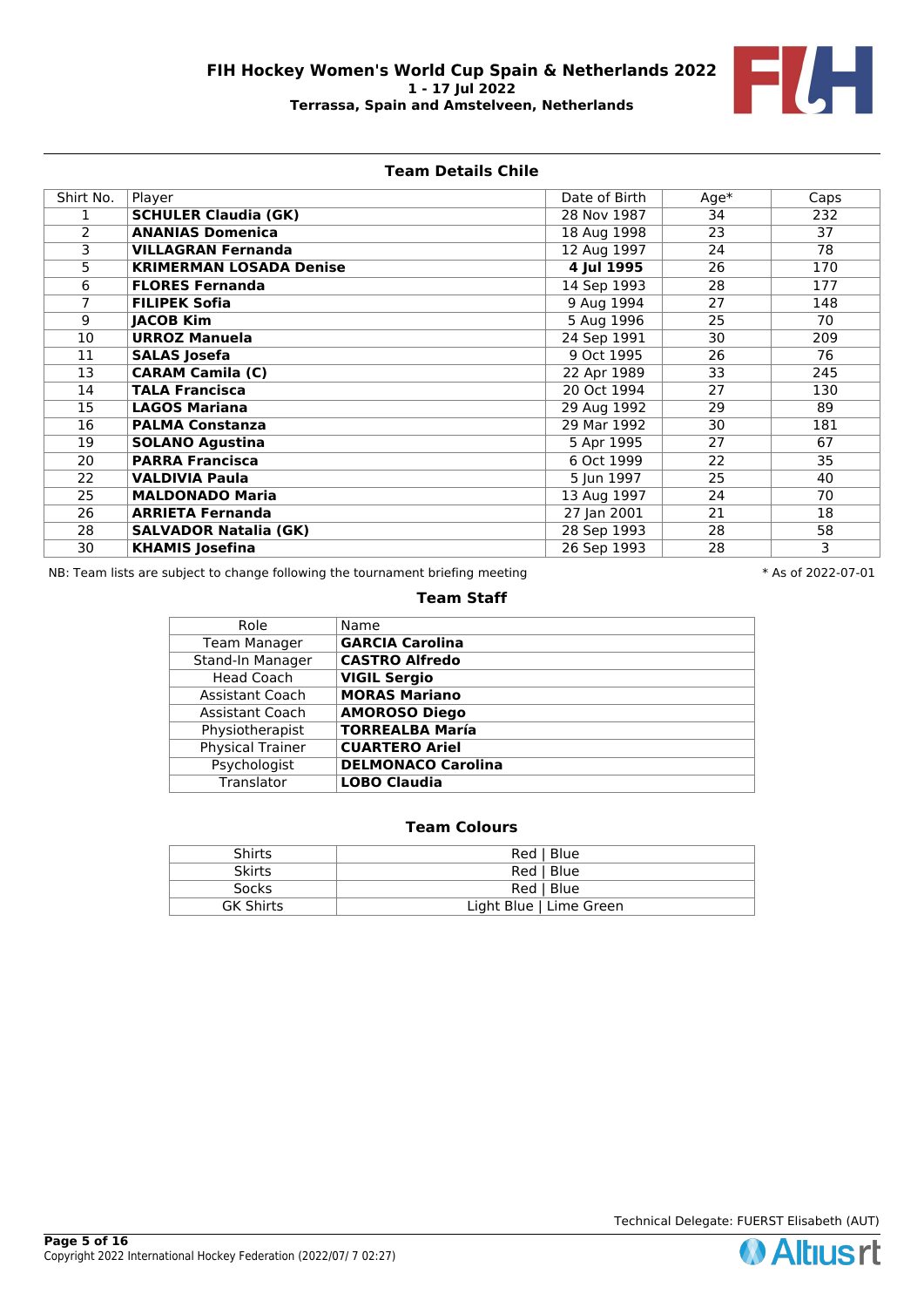

# **Team Details Chile**

| Shirt No. | Player                         | Date of Birth | $Age*$ | Caps |
|-----------|--------------------------------|---------------|--------|------|
|           | <b>SCHULER Claudia (GK)</b>    | 28 Nov 1987   | 34     | 232  |
| 2         | <b>ANANIAS Domenica</b>        | 18 Aug 1998   | 23     | 37   |
| 3         | <b>VILLAGRAN Fernanda</b>      | 12 Aug 1997   | 24     | 78   |
| 5         | <b>KRIMERMAN LOSADA Denise</b> | 4 Jul 1995    | 26     | 170  |
| 6         | <b>FLORES Fernanda</b>         | 14 Sep 1993   | 28     | 177  |
|           | <b>FILIPEK Sofia</b>           | 9 Aug 1994    | 27     | 148  |
| 9         | <b>JACOB Kim</b>               | 5 Aug 1996    | 25     | 70   |
| 10        | <b>URROZ Manuela</b>           | 24 Sep 1991   | 30     | 209  |
| 11        | <b>SALAS Josefa</b>            | 9 Oct 1995    | 26     | 76   |
| 13        | <b>CARAM Camila (C)</b>        | 22 Apr 1989   | 33     | 245  |
| 14        | <b>TALA Francisca</b>          | 20 Oct 1994   | 27     | 130  |
| 15        | <b>LAGOS Mariana</b>           | 29 Aug 1992   | 29     | 89   |
| 16        | <b>PALMA Constanza</b>         | 29 Mar 1992   | 30     | 181  |
| 19        | <b>SOLANO Agustina</b>         | 5 Apr 1995    | 27     | 67   |
| 20        | <b>PARRA Francisca</b>         | 6 Oct 1999    | 22     | 35   |
| 22        | <b>VALDIVIA Paula</b>          | 5 Jun 1997    | 25     | 40   |
| 25        | <b>MALDONADO Maria</b>         | 13 Aug 1997   | 24     | 70   |
| 26        | <b>ARRIETA Fernanda</b>        | 27 Jan 2001   | 21     | 18   |
| 28        | <b>SALVADOR Natalia (GK)</b>   | 28 Sep 1993   | 28     | 58   |
| 30        | <b>KHAMIS Josefina</b>         | 26 Sep 1993   | 28     | 3    |

NB: Team lists are subject to change following the tournament briefing meeting  $* A s$  of 2022-07-01

### **Team Staff**

| Role                    | Name                      |
|-------------------------|---------------------------|
| <b>Team Manager</b>     | <b>GARCIA Carolina</b>    |
| Stand-In Manager        | <b>CASTRO Alfredo</b>     |
| Head Coach              | <b>VIGIL Sergio</b>       |
| Assistant Coach         | <b>MORAS Mariano</b>      |
| Assistant Coach         | <b>AMOROSO Diego</b>      |
| Physiotherapist         | <b>TORREALBA María</b>    |
| <b>Physical Trainer</b> | <b>CUARTERO Ariel</b>     |
| Psychologist            | <b>DELMONACO Carolina</b> |
| Translator              | <b>LOBO Claudia</b>       |

| <b>Shirts</b>    | Red   Blue              |
|------------------|-------------------------|
| <b>Skirts</b>    | Red   Blue              |
| <b>Socks</b>     | Red   Blue              |
| <b>GK Shirts</b> | Light Blue   Lime Green |

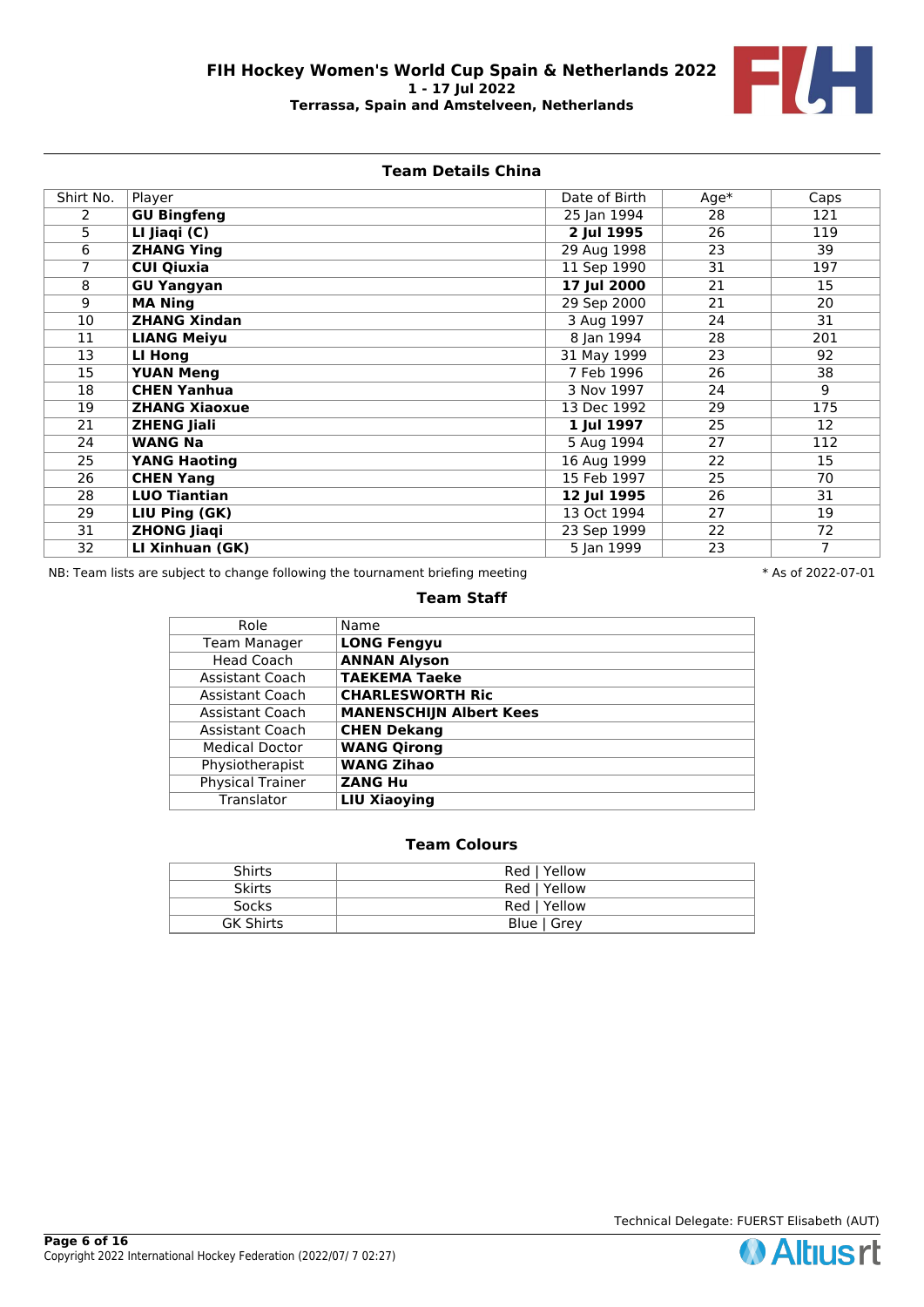

# **Team Details China**

| Shirt No. | Player               | Date of Birth | $Age*$ | Caps           |
|-----------|----------------------|---------------|--------|----------------|
| 2         | <b>GU Bingfeng</b>   | 25 Jan 1994   | 28     | 121            |
| 5         | LI Jiaqi (C)         | 2 Jul 1995    | 26     | 119            |
| 6         | <b>ZHANG Ying</b>    | 29 Aug 1998   | 23     | 39             |
| 7         | <b>CUI Qiuxia</b>    | 11 Sep 1990   | 31     | 197            |
| 8         | <b>GU Yangyan</b>    | 17 Jul 2000   | 21     | 15             |
| 9         | <b>MA Ning</b>       | 29 Sep 2000   | 21     | 20             |
| 10        | <b>ZHANG Xindan</b>  | 3 Aug 1997    | 24     | 31             |
| 11        | <b>LIANG Meiyu</b>   | 8 Jan 1994    | 28     | 201            |
| 13        | LI Hong              | 31 May 1999   | 23     | 92             |
| 15        | <b>YUAN Meng</b>     | 7 Feb 1996    | 26     | 38             |
| 18        | <b>CHEN Yanhua</b>   | 3 Nov 1997    | 24     | 9              |
| 19        | <b>ZHANG Xiaoxue</b> | 13 Dec 1992   | 29     | 175            |
| 21        | <b>ZHENG Jiali</b>   | 1 Jul 1997    | 25     | 12             |
| 24        | <b>WANG Na</b>       | 5 Aug 1994    | 27     | 112            |
| 25        | <b>YANG Haoting</b>  | 16 Aug 1999   | 22     | 15             |
| 26        | <b>CHEN Yang</b>     | 15 Feb 1997   | 25     | 70             |
| 28        | <b>LUO Tiantian</b>  | 12 Jul 1995   | 26     | 31             |
| 29        | LIU Ping (GK)        | 13 Oct 1994   | 27     | 19             |
| 31        | <b>ZHONG Jiaqi</b>   | 23 Sep 1999   | 22     | 72             |
| 32        | LI Xinhuan (GK)      | 5 Jan 1999    | 23     | $\overline{7}$ |

NB: Team lists are subject to change following the tournament briefing meeting  $* A s$  of 2022-07-01

### **Team Staff**

| Role                    | Name                           |
|-------------------------|--------------------------------|
| <b>Team Manager</b>     | <b>LONG Fengyu</b>             |
| <b>Head Coach</b>       | <b>ANNAN Alyson</b>            |
| Assistant Coach         | <b>TAEKEMA Taeke</b>           |
| <b>Assistant Coach</b>  | <b>CHARLESWORTH Ric</b>        |
| Assistant Coach         | <b>MANENSCHIJN Albert Kees</b> |
| Assistant Coach         | <b>CHEN Dekang</b>             |
| <b>Medical Doctor</b>   | <b>WANG Qirong</b>             |
| Physiotherapist         | <b>WANG Zihao</b>              |
| <b>Physical Trainer</b> | <b>ZANG Hu</b>                 |
| Translator              | <b>LIU Xiaoying</b>            |

| Shirts           | Red   Yellow |
|------------------|--------------|
| <b>Skirts</b>    | Red   Yellow |
| Socks            | Red   Yellow |
| <b>GK Shirts</b> | Blue   Grey  |

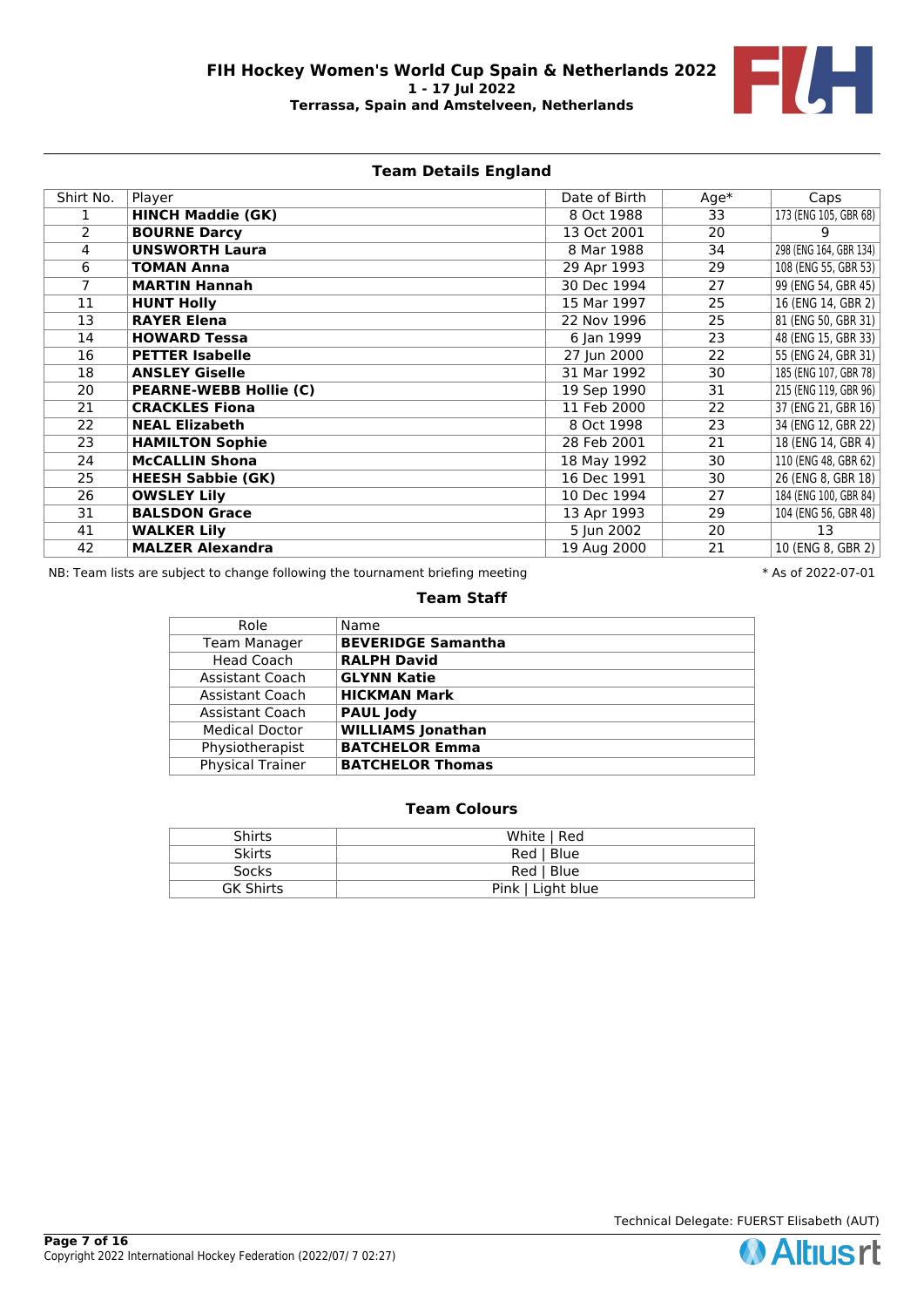

# **Team Details England**

| Shirt No.      | Player                        | Date of Birth | $Age*$ | Caps                   |
|----------------|-------------------------------|---------------|--------|------------------------|
|                | <b>HINCH Maddie (GK)</b>      | 8 Oct 1988    | 33     | 173 (ENG 105, GBR 68)  |
| $\overline{2}$ | <b>BOURNE Darcy</b>           | 13 Oct 2001   | 20     | 9                      |
| 4              | <b>UNSWORTH Laura</b>         | 8 Mar 1988    | 34     | 298 (ENG 164, GBR 134) |
| 6              | <b>TOMAN Anna</b>             | 29 Apr 1993   | 29     | 108 (ENG 55, GBR 53)   |
| 7              | <b>MARTIN Hannah</b>          | 30 Dec 1994   | 27     | 99 (ENG 54, GBR 45)    |
| 11             | <b>HUNT Holly</b>             | 15 Mar 1997   | 25     | 16 (ENG 14, GBR 2)     |
| 13             | <b>RAYER Elena</b>            | 22 Nov 1996   | 25     | 81 (ENG 50, GBR 31)    |
| 14             | <b>HOWARD Tessa</b>           | 6 Jan 1999    | 23     | 48 (ENG 15, GBR 33)    |
| 16             | <b>PETTER Isabelle</b>        | 27 Jun 2000   | 22     | 55 (ENG 24, GBR 31)    |
| 18             | <b>ANSLEY Giselle</b>         | 31 Mar 1992   | 30     | 185 (ENG 107, GBR 78)  |
| 20             | <b>PEARNE-WEBB Hollie (C)</b> | 19 Sep 1990   | 31     | 215 (ENG 119, GBR 96)  |
| 21             | <b>CRACKLES Fiona</b>         | 11 Feb 2000   | 22     | 37 (ENG 21, GBR 16)    |
| 22             | <b>NEAL Elizabeth</b>         | 8 Oct 1998    | 23     | 34 (ENG 12, GBR 22)    |
| 23             | <b>HAMILTON Sophie</b>        | 28 Feb 2001   | 21     | 18 (ENG 14, GBR 4)     |
| 24             | <b>McCALLIN Shona</b>         | 18 May 1992   | 30     | 110 (ENG 48, GBR 62)   |
| 25             | <b>HEESH Sabbie (GK)</b>      | 16 Dec 1991   | 30     | 26 (ENG 8, GBR 18)     |
| 26             | <b>OWSLEY Lily</b>            | 10 Dec 1994   | 27     | 184 (ENG 100, GBR 84)  |
| 31             | <b>BALSDON Grace</b>          | 13 Apr 1993   | 29     | 104 (ENG 56, GBR 48)   |
| 41             | <b>WALKER Lily</b>            | 5 Jun 2002    | 20     | 13                     |
| 42             | <b>MALZER Alexandra</b>       | 19 Aug 2000   | 21     | 10 (ENG 8, GBR 2)      |

NB: Team lists are subject to change following the tournament briefing meeting  $* A s$  of 2022-07-01

### **Team Staff**

| Role                    | Name                      |
|-------------------------|---------------------------|
| <b>Team Manager</b>     | <b>BEVERIDGE Samantha</b> |
| Head Coach              | <b>RALPH David</b>        |
| Assistant Coach         | <b>GLYNN Katie</b>        |
| Assistant Coach         | <b>HICKMAN Mark</b>       |
| <b>Assistant Coach</b>  | <b>PAUL Jody</b>          |
| <b>Medical Doctor</b>   | <b>WILLIAMS</b> Jonathan  |
| Physiotherapist         | <b>BATCHELOR Emma</b>     |
| <b>Physical Trainer</b> | <b>BATCHELOR Thomas</b>   |

# **Team Colours**

| Shirts           | White   Red       |
|------------------|-------------------|
| <b>Skirts</b>    | Red   Blue        |
| <b>Socks</b>     | Red   Blue        |
| <b>GK Shirts</b> | Pink   Light blue |

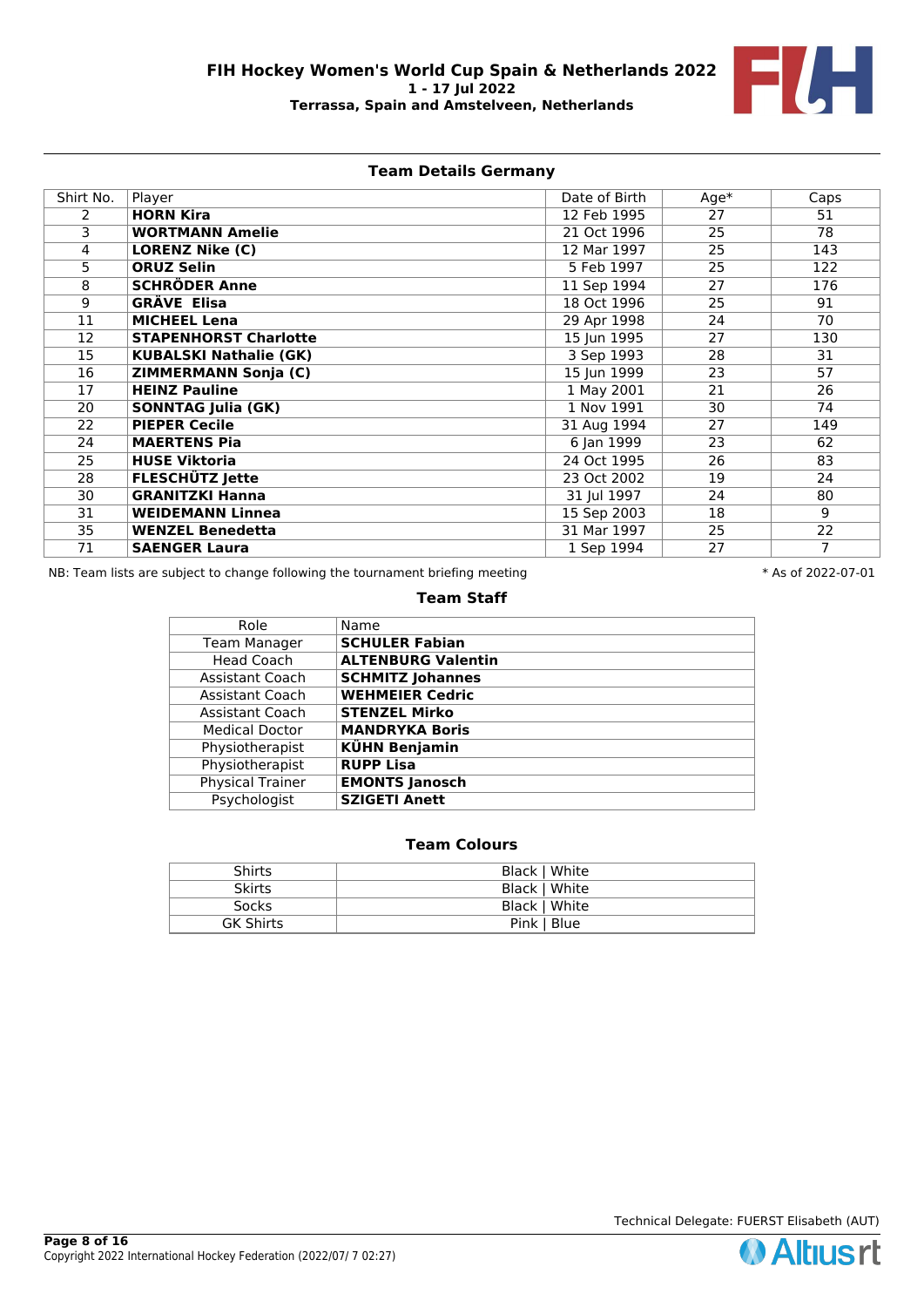

# **Team Details Germany**

| Shirt No. | Player                        | Date of Birth | $Age*$ | Caps            |
|-----------|-------------------------------|---------------|--------|-----------------|
| 2         | <b>HORN Kira</b>              | 12 Feb 1995   | 27     | 51              |
| 3         | <b>WORTMANN Amelie</b>        | 21 Oct 1996   | 25     | 78              |
| 4         | <b>LORENZ Nike (C)</b>        | 12 Mar 1997   | 25     | 143             |
| 5.        | <b>ORUZ Selin</b>             | 5 Feb 1997    | 25     | 122             |
| 8         | <b>SCHRÖDER Anne</b>          | 11 Sep 1994   | 27     | 176             |
| 9         | <b>GRÄVE Elisa</b>            | 18 Oct 1996   | 25     | 91              |
| 11        | <b>MICHEEL Lena</b>           | 29 Apr 1998   | 24     | 70              |
| 12        | <b>STAPENHORST Charlotte</b>  | 15 Jun 1995   | 27     | 130             |
| 15        | <b>KUBALSKI Nathalie (GK)</b> | 3 Sep 1993    | 28     | 31              |
| 16        | <b>ZIMMERMANN Sonja (C)</b>   | 15 Jun 1999   | 23     | $\overline{57}$ |
| 17        | <b>HEINZ Pauline</b>          | 1 May 2001    | 21     | 26              |
| 20        | <b>SONNTAG Julia (GK)</b>     | 1 Nov 1991    | 30     | 74              |
| 22        | <b>PIEPER Cecile</b>          | 31 Aug 1994   | 27     | 149             |
| 24        | <b>MAERTENS Pia</b>           | 6 Jan 1999    | 23     | 62              |
| 25        | <b>HUSE Viktoria</b>          | 24 Oct 1995   | 26     | 83              |
| 28        | <b>FLESCHÜTZ Jette</b>        | 23 Oct 2002   | 19     | 24              |
| 30        | <b>GRANITZKI Hanna</b>        | 31 Jul 1997   | 24     | 80              |
| 31        | <b>WEIDEMANN Linnea</b>       | 15 Sep 2003   | 18     | 9               |
| 35        | <b>WENZEL Benedetta</b>       | 31 Mar 1997   | 25     | 22              |
| 71        | <b>SAENGER Laura</b>          | 1 Sep 1994    | 27     | 7               |

NB: Team lists are subject to change following the tournament briefing meeting  $* A s$  of 2022-07-01

#### **Team Staff**

| Role                    | Name                      |
|-------------------------|---------------------------|
| <b>Team Manager</b>     | <b>SCHULER Fabian</b>     |
| <b>Head Coach</b>       | <b>ALTENBURG Valentin</b> |
| Assistant Coach         | <b>SCHMITZ Johannes</b>   |
| Assistant Coach         | <b>WEHMEIER Cedric</b>    |
| Assistant Coach         | <b>STENZEL Mirko</b>      |
| <b>Medical Doctor</b>   | <b>MANDRYKA Boris</b>     |
| Physiotherapist         | <b>KÜHN Benjamin</b>      |
| Physiotherapist         | <b>RUPP Lisa</b>          |
| <b>Physical Trainer</b> | <b>EMONTS Janosch</b>     |
| Psychologist            | <b>SZIGETI Anett</b>      |

# **Team Colours**

| <b>Shirts</b> | Black   White |
|---------------|---------------|
| <b>Skirts</b> | Black   White |
| <b>Socks</b>  | Black   White |
| GK Shirts     | Pink   Blue   |

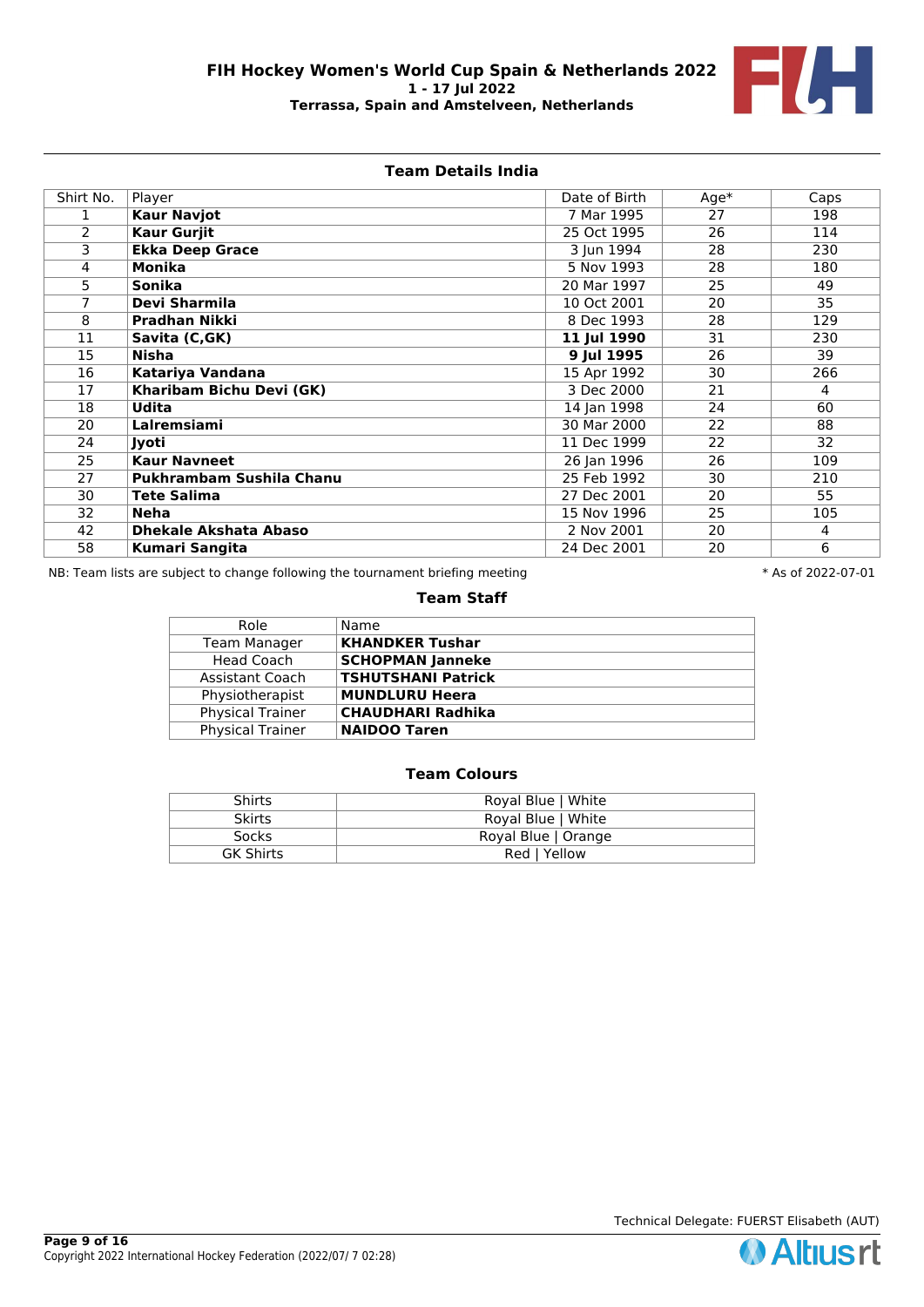

# **Team Details India**

| Shirt No. | Player                       | Date of Birth | $Age*$ | Caps |
|-----------|------------------------------|---------------|--------|------|
|           | <b>Kaur Navjot</b>           | 7 Mar 1995    | 27     | 198  |
| 2         | <b>Kaur Gurjit</b>           | 25 Oct 1995   | 26     | 114  |
| 3         | <b>Ekka Deep Grace</b>       | 3 Jun 1994    | 28     | 230  |
| 4         | <b>Monika</b>                | 5 Nov 1993    | 28     | 180  |
| 5         | Sonika                       | 20 Mar 1997   | 25     | 49   |
|           | Devi Sharmila                | 10 Oct 2001   | 20     | 35   |
| 8         | <b>Pradhan Nikki</b>         | 8 Dec 1993    | 28     | 129  |
| 11        | Savita (C,GK)                | 11 Jul 1990   | 31     | 230  |
| 15        | Nisha                        | 9 Jul 1995    | 26     | 39   |
| 16        | Katariya Vandana             | 15 Apr 1992   | 30     | 266  |
| 17        | Kharibam Bichu Devi (GK)     | 3 Dec 2000    | 21     | 4    |
| 18        | <b>Udita</b>                 | 14 Jan 1998   | 24     | 60   |
| 20        | Lalremsiami                  | 30 Mar 2000   | 22     | 88   |
| 24        | Jyoti                        | 11 Dec 1999   | 22     | 32   |
| 25        | <b>Kaur Navneet</b>          | 26 Jan 1996   | 26     | 109  |
| 27        | Pukhrambam Sushila Chanu     | 25 Feb 1992   | 30     | 210  |
| 30        | <b>Tete Salima</b>           | 27 Dec 2001   | 20     | 55   |
| 32        | <b>Neha</b>                  | 15 Nov 1996   | 25     | 105  |
| 42        | <b>Dhekale Akshata Abaso</b> | 2 Nov 2001    | 20     | 4    |
| 58        | <b>Kumari Sangita</b>        | 24 Dec 2001   | 20     | 6    |

NB: Team lists are subject to change following the tournament briefing meeting  $* A s$  of 2022-07-01

### **Team Staff**

| Role                    | Name                      |
|-------------------------|---------------------------|
| <b>Team Manager</b>     | <b>KHANDKER Tushar</b>    |
| <b>Head Coach</b>       | <b>SCHOPMAN Janneke</b>   |
| <b>Assistant Coach</b>  | <b>TSHUTSHANI Patrick</b> |
| Physiotherapist         | <b>MUNDLURU Heera</b>     |
| <b>Physical Trainer</b> | <b>CHAUDHARI Radhika</b>  |
| <b>Physical Trainer</b> | <b>NAIDOO Taren</b>       |

# **Team Colours**

| Shirts           | Royal Blue   White  |
|------------------|---------------------|
| <b>Skirts</b>    | Royal Blue   White  |
| <b>Socks</b>     | Royal Blue   Orange |
| <b>GK Shirts</b> | Red   Yellow        |

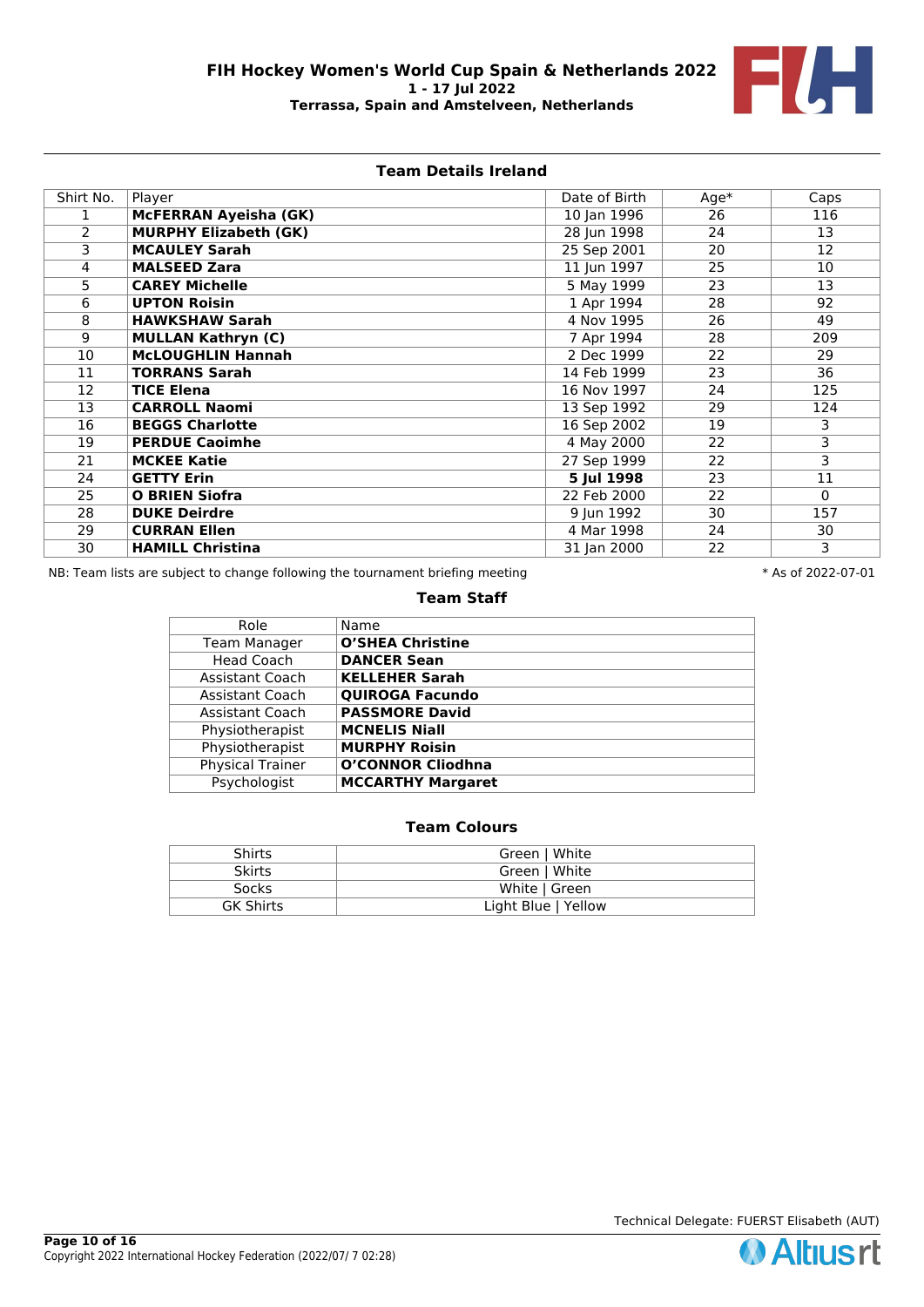

# **Team Details Ireland**

| Shirt No.      | Player                       | Date of Birth  | $Age*$ | Caps                    |
|----------------|------------------------------|----------------|--------|-------------------------|
|                | McFERRAN Ayeisha (GK)        | 10 Jan 1996    | 26     | 116                     |
| $\overline{2}$ | <b>MURPHY Elizabeth (GK)</b> | 28 Jun 1998    | 24     | 13                      |
| 3              | <b>MCAULEY Sarah</b>         | 25 Sep 2001    | 20     | 12                      |
| 4              | <b>MALSEED Zara</b>          | 11 Jun 1997    | 25     | 10                      |
| 5              | <b>CAREY Michelle</b>        | $5$ May $1999$ | 23     | 13                      |
| 6              | <b>UPTON Roisin</b>          | 1 Apr 1994     | 28     | 92                      |
| 8              | <b>HAWKSHAW Sarah</b>        | 4 Nov 1995     | 26     | 49                      |
| 9              | <b>MULLAN Kathryn (C)</b>    | 7 Apr 1994     | 28     | 209                     |
| 10             | <b>McLOUGHLIN Hannah</b>     | 2 Dec 1999     | 22     | 29                      |
| 11             | <b>TORRANS Sarah</b>         | 14 Feb 1999    | 23     | 36                      |
| 12             | <b>TICE Elena</b>            | 16 Nov 1997    | 24     | 125                     |
| 13             | <b>CARROLL Naomi</b>         | 13 Sep 1992    | 29     | 124                     |
| 16             | <b>BEGGS Charlotte</b>       | 16 Sep 2002    | 19     | 3                       |
| 19             | <b>PERDUE Caoimhe</b>        | 4 May 2000     | 22     | $\overline{\mathbf{3}}$ |
| 21             | <b>MCKEE Katie</b>           | 27 Sep 1999    | 22     | 3                       |
| 24             | <b>GETTY Erin</b>            | 5 Jul 1998     | 23     | 11                      |
| 25             | <b>O BRIEN Siofra</b>        | 22 Feb 2000    | 22     | $\mathbf{0}$            |
| 28             | <b>DUKE Deirdre</b>          | 9 Jun 1992     | 30     | 157                     |
| 29             | <b>CURRAN Ellen</b>          | 4 Mar 1998     | 24     | 30                      |
| 30             | <b>HAMILL Christina</b>      | 31 Jan 2000    | 22     | 3                       |

NB: Team lists are subject to change following the tournament briefing meeting  $* A s$  of 2022-07-01

### **Team Staff**

| Role                    | Name                     |
|-------------------------|--------------------------|
| <b>Team Manager</b>     | <b>O'SHEA Christine</b>  |
| Head Coach              | <b>DANCER Sean</b>       |
| <b>Assistant Coach</b>  | <b>KELLEHER Sarah</b>    |
| <b>Assistant Coach</b>  | <b>QUIROGA Facundo</b>   |
| Assistant Coach         | <b>PASSMORE David</b>    |
| Physiotherapist         | <b>MCNELIS Niall</b>     |
| Physiotherapist         | <b>MURPHY Roisin</b>     |
| <b>Physical Trainer</b> | <b>O'CONNOR Cliodhna</b> |
| Psychologist            | <b>MCCARTHY Margaret</b> |

# **Team Colours**

|  | <b>Shirts</b>    | Green   White       |
|--|------------------|---------------------|
|  | <b>Skirts</b>    | Green   White       |
|  | <b>Socks</b>     | White   Green       |
|  | <b>GK Shirts</b> | Light Blue   Yellow |

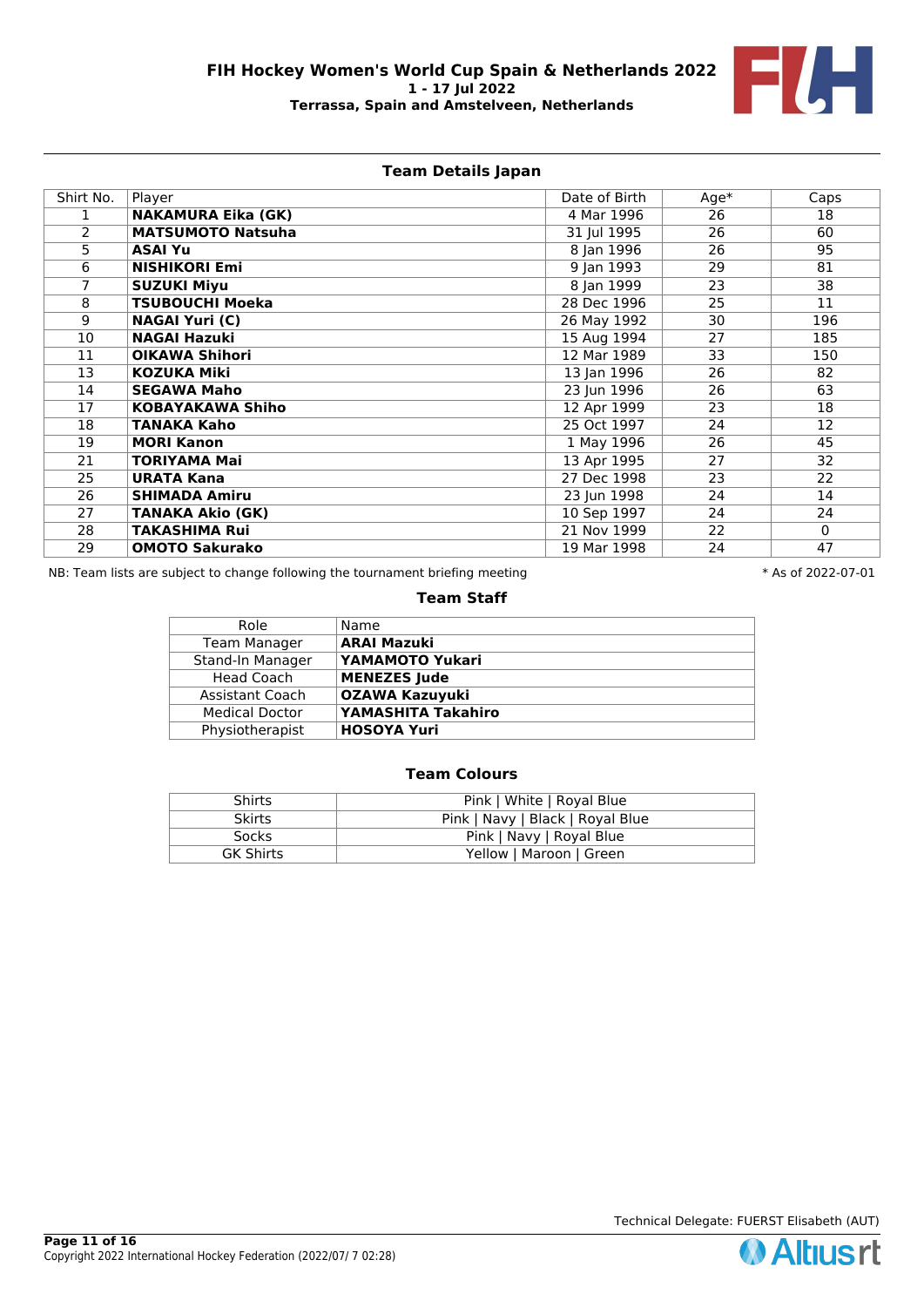

# **Team Details Japan**

| Shirt No.      | Player                    | Date of Birth | $Age*$ | Caps        |
|----------------|---------------------------|---------------|--------|-------------|
|                | <b>NAKAMURA Eika (GK)</b> | 4 Mar 1996    | 26     | 18          |
| $\overline{2}$ | <b>MATSUMOTO Natsuha</b>  | 31 Jul 1995   | 26     | 60          |
| 5              | <b>ASAI Yu</b>            | 8 Jan 1996    | 26     | 95          |
| 6              | <b>NISHIKORI Emi</b>      | 9 Jan 1993    | 29     | 81          |
| 7              | <b>SUZUKI Miyu</b>        | 8 Jan 1999    | 23     | 38          |
| 8              | <b>TSUBOUCHI Moeka</b>    | 28 Dec 1996   | 25     | 11          |
| 9              | <b>NAGAI Yuri (C)</b>     | 26 May 1992   | 30     | 196         |
| 10             | <b>NAGAI Hazuki</b>       | 15 Aug 1994   | 27     | 185         |
| 11             | <b>OIKAWA Shihori</b>     | 12 Mar 1989   | 33     | 150         |
| 13             | <b>KOZUKA Miki</b>        | 13 Jan 1996   | 26     | 82          |
| 14             | <b>SEGAWA Maho</b>        | 23 Jun 1996   | 26     | 63          |
| 17             | <b>KOBAYAKAWA Shiho</b>   | 12 Apr 1999   | 23     | 18          |
| 18             | <b>TANAKA Kaho</b>        | 25 Oct 1997   | 24     | 12          |
| 19             | <b>MORI Kanon</b>         | 1 May 1996    | 26     | 45          |
| 21             | <b>TORIYAMA Mai</b>       | 13 Apr 1995   | 27     | 32          |
| 25             | <b>URATA Kana</b>         | 27 Dec 1998   | 23     | 22          |
| 26             | <b>SHIMADA Amiru</b>      | 23 Jun 1998   | 24     | 14          |
| 27             | <b>TANAKA Akio (GK)</b>   | 10 Sep 1997   | 24     | 24          |
| 28             | <b>TAKASHIMA Rui</b>      | 21 Nov 1999   | 22     | $\mathbf 0$ |
| 29             | <b>OMOTO Sakurako</b>     | 19 Mar 1998   | 24     | 47          |

NB: Team lists are subject to change following the tournament briefing meeting  $* A s$  of 2022-07-01

#### **Team Staff**

| Role                  | Name                  |
|-----------------------|-----------------------|
| <b>Team Manager</b>   | <b>ARAI Mazuki</b>    |
| Stand-In Manager      | YAMAMOTO Yukari       |
| <b>Head Coach</b>     | <b>MENEZES Jude</b>   |
| Assistant Coach       | <b>OZAWA Kazuyuki</b> |
| <b>Medical Doctor</b> | YAMASHITA Takahiro    |
| Physiotherapist       | <b>HOSOYA Yuri</b>    |

| Shirts           | Pink   White   Royal Blue        |
|------------------|----------------------------------|
| <b>Skirts</b>    | Pink   Navy   Black   Royal Blue |
| Socks            | Pink   Navy   Royal Blue         |
| <b>GK Shirts</b> | Yellow   Maroon   Green          |

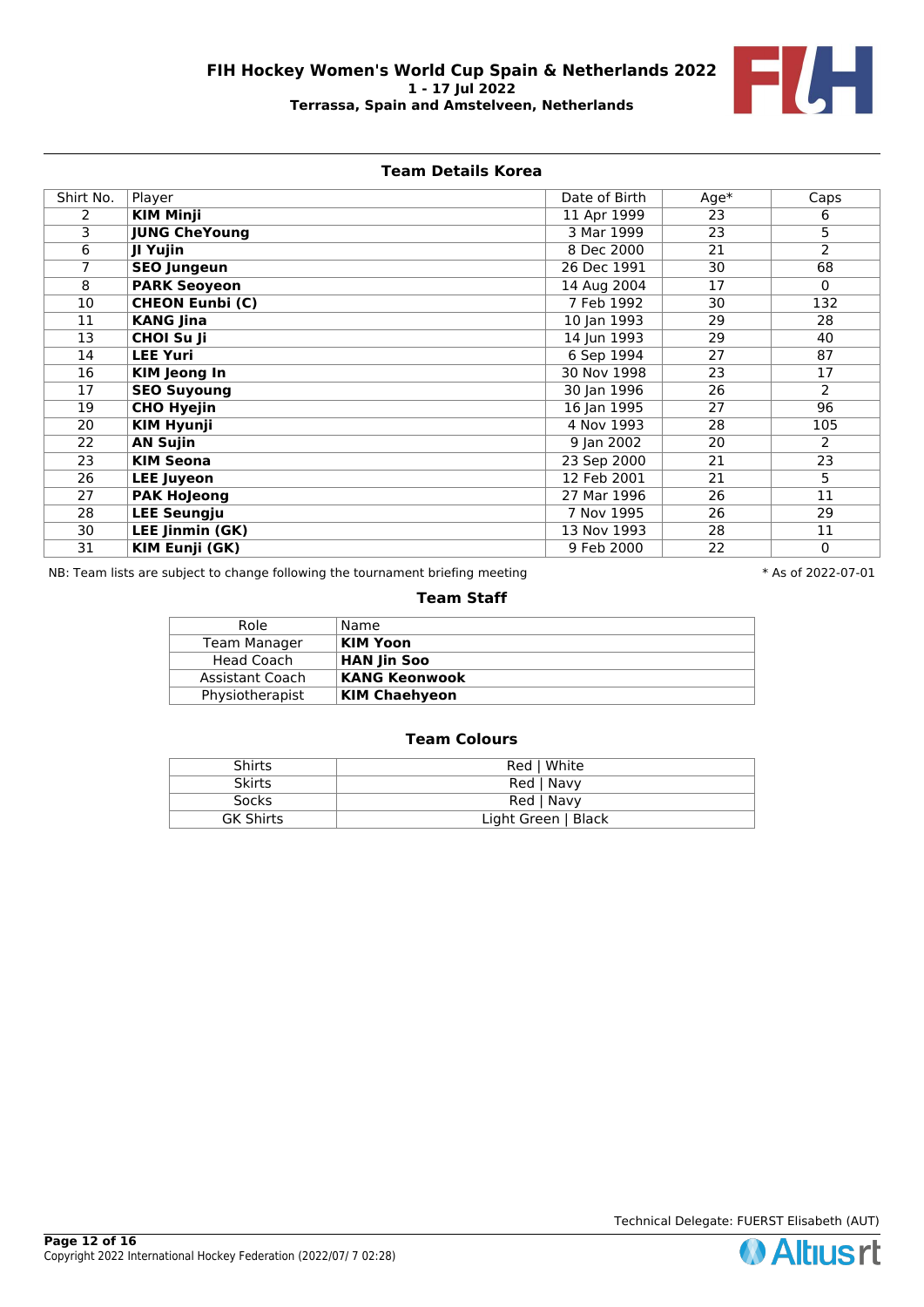

# **Team Details Korea**

| Shirt No. | Player                 | Date of Birth | $Age*$ | Caps           |
|-----------|------------------------|---------------|--------|----------------|
| 2         | <b>KIM Minji</b>       | 11 Apr 1999   | 23     | 6              |
| 3         | <b>JUNG CheYoung</b>   | 3 Mar 1999    | 23     | $\overline{5}$ |
| 6         | JI Yujin               | 8 Dec 2000    | 21     | 2              |
| 7         | <b>SEO Jungeun</b>     | 26 Dec 1991   | 30     | 68             |
| 8         | <b>PARK Seoyeon</b>    | 14 Aug 2004   | 17     | $\mathbf 0$    |
| 10        | <b>CHEON Eunbi (C)</b> | 7 Feb 1992    | 30     | 132            |
| 11        | <b>KANG Jina</b>       | 10 Jan 1993   | 29     | 28             |
| 13        | <b>CHOI Su Ji</b>      | 14 Jun 1993   | 29     | 40             |
| 14        | <b>LEE Yuri</b>        | 6 Sep 1994    | 27     | 87             |
| 16        | <b>KIM</b> Jeong In    | 30 Nov 1998   | 23     | 17             |
| 17        | <b>SEO Suyoung</b>     | 30 Jan 1996   | 26     | $\overline{2}$ |
| 19        | <b>CHO Hyejin</b>      | 16 Jan 1995   | 27     | 96             |
| 20        | <b>KIM Hyunji</b>      | 4 Nov 1993    | 28     | 105            |
| 22        | <b>AN Sujin</b>        | 9 Jan 2002    | 20     | $\overline{2}$ |
| 23        | <b>KIM Seona</b>       | 23 Sep 2000   | 21     | 23             |
| 26        | <b>LEE Juyeon</b>      | 12 Feb 2001   | 21     | 5              |
| 27        | <b>PAK Hojeong</b>     | 27 Mar 1996   | 26     | 11             |
| 28        | <b>LEE Seungju</b>     | 7 Nov 1995    | 26     | 29             |
| 30        | <b>LEE Jinmin (GK)</b> | 13 Nov 1993   | 28     | 11             |
| 31        | <b>KIM Eunji (GK)</b>  | 9 Feb 2000    | 22     | $\mathbf 0$    |

NB: Team lists are subject to change following the tournament briefing meeting  $* A s$  of 2022-07-01

#### **Team Staff**

| Role            | Name                 |
|-----------------|----------------------|
| Team Manager    | <b>KIM Yoon</b>      |
| Head Coach      | <b>HAN Jin Soo</b>   |
| Assistant Coach | KANG Keonwook        |
| Physiotherapist | <b>KIM Chaehyeon</b> |
|                 |                      |

| <b>Shirts</b>    | Red   White         |
|------------------|---------------------|
| <b>Skirts</b>    | Red   Navy          |
| <b>Socks</b>     | Red   Navy          |
| <b>GK Shirts</b> | Light Green   Black |

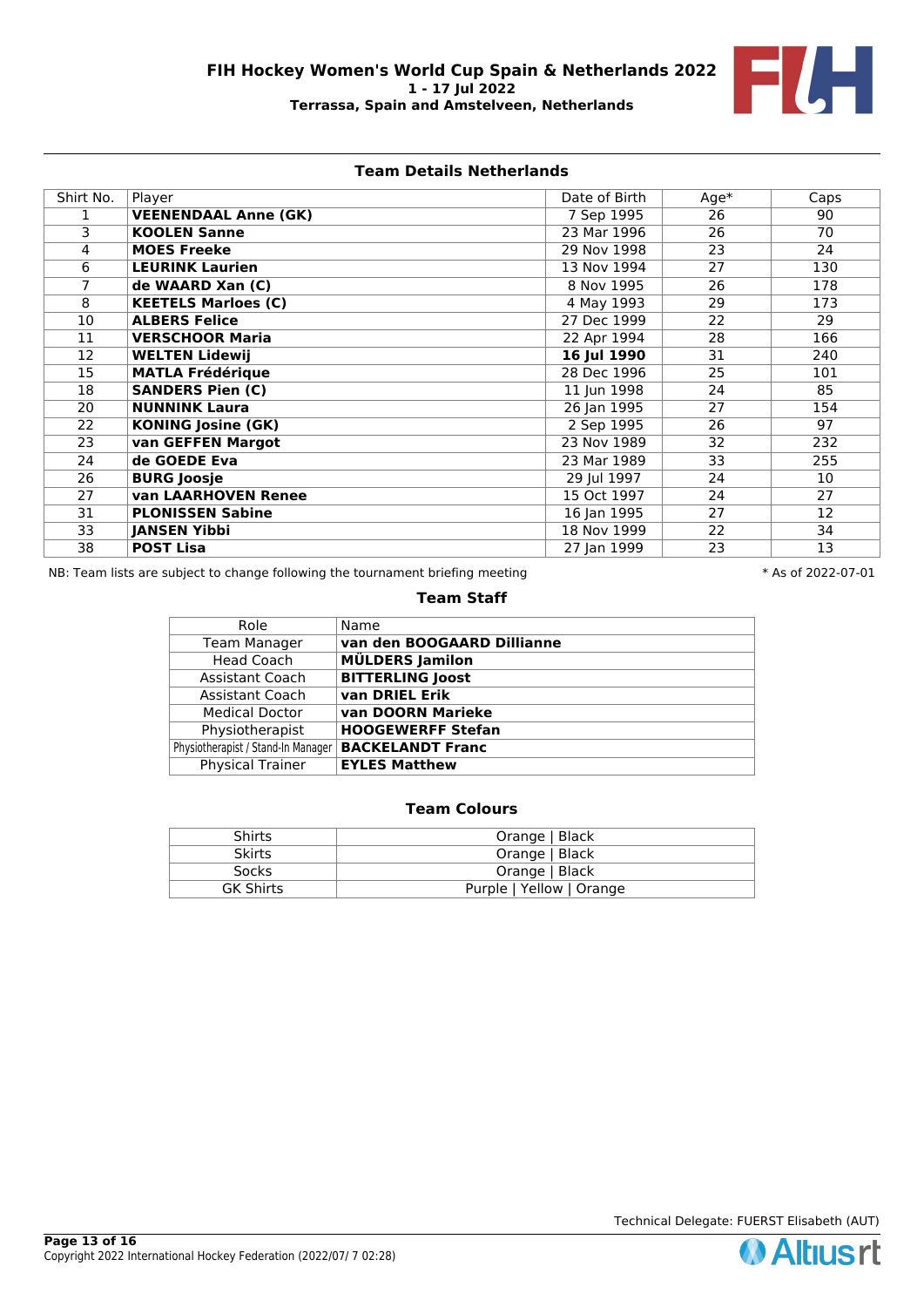

### **Team Details Netherlands**

| Shirt No. | Player                      | Date of Birth | $Age*$ | Caps |
|-----------|-----------------------------|---------------|--------|------|
|           | <b>VEENENDAAL Anne (GK)</b> | 7 Sep 1995    | 26     | 90   |
| 3         | <b>KOOLEN Sanne</b>         | 23 Mar 1996   | 26     | 70   |
| 4         | <b>MOES Freeke</b>          | 29 Nov 1998   | 23     | 24   |
| 6         | <b>LEURINK Laurien</b>      | 13 Nov 1994   | 27     | 130  |
| 7         | de WAARD Xan (C)            | 8 Nov 1995    | 26     | 178  |
| 8         | <b>KEETELS Marloes (C)</b>  | 4 May 1993    | 29     | 173  |
| 10        | <b>ALBERS Felice</b>        | 27 Dec 1999   | 22     | 29   |
| 11        | <b>VERSCHOOR Maria</b>      | 22 Apr 1994   | 28     | 166  |
| 12        | <b>WELTEN Lidewij</b>       | 16 Jul 1990   | 31     | 240  |
| 15        | <b>MATLA Frédérique</b>     | 28 Dec 1996   | 25     | 101  |
| 18        | <b>SANDERS Pien (C)</b>     | 11 Jun 1998   | 24     | 85   |
| 20        | <b>NUNNINK Laura</b>        | 26 Jan 1995   | 27     | 154  |
| 22        | <b>KONING Josine (GK)</b>   | 2 Sep 1995    | 26     | 97   |
| 23        | van GEFFEN Margot           | 23 Nov 1989   | 32     | 232  |
| 24        | de GOEDE Eva                | 23 Mar 1989   | 33     | 255  |
| 26        | <b>BURG Joosje</b>          | 29 Jul 1997   | 24     | 10   |
| 27        | <b>van LAARHOVEN Renee</b>  | 15 Oct 1997   | 24     | 27   |
| 31        | <b>PLONISSEN Sabine</b>     | 16 Jan 1995   | 27     | 12   |
| 33        | <b>JANSEN Yibbi</b>         | 18 Nov 1999   | 22     | 34   |
| 38        | <b>POST Lisa</b>            | 27 Jan 1999   | 23     | 13   |

NB: Team lists are subject to change following the tournament briefing meeting  $* A s$  of 2022-07-01

### **Team Staff**

| Role                               | Name                       |
|------------------------------------|----------------------------|
| <b>Team Manager</b>                | van den BOOGAARD Dillianne |
| <b>Head Coach</b>                  | <b>MÜLDERS Jamilon</b>     |
| <b>Assistant Coach</b>             | <b>BITTERLING Joost</b>    |
| <b>Assistant Coach</b>             | van DRIEL Erik             |
| <b>Medical Doctor</b>              | van DOORN Marieke          |
| Physiotherapist                    | <b>HOOGEWERFF Stefan</b>   |
| Physiotherapist / Stand-In Manager | <b>BACKELANDT Franc</b>    |
| <b>Physical Trainer</b>            | <b>EYLES Matthew</b>       |

# **Team Colours**

| Shirts           | Orange   Black           |
|------------------|--------------------------|
| <b>Skirts</b>    | Orange   Black           |
| Socks            | Orange   Black           |
| <b>GK Shirts</b> | Purple   Yellow   Orange |

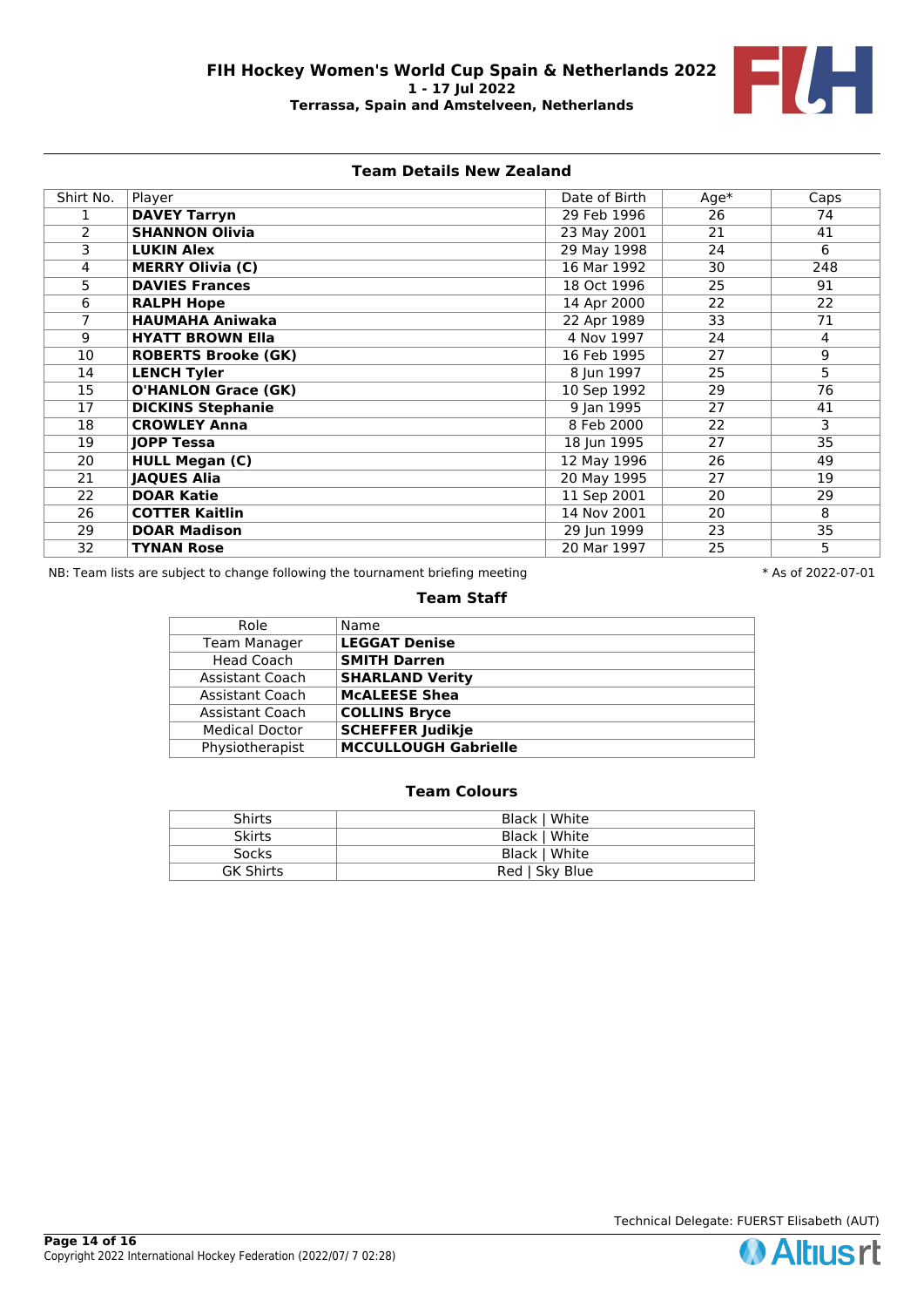

## **Team Details New Zealand**

| Shirt No.      | Player                     | Date of Birth            | $Age*$          | Caps           |
|----------------|----------------------------|--------------------------|-----------------|----------------|
|                | <b>DAVEY Tarryn</b>        | 29 Feb 1996              | $\overline{26}$ | 74             |
| $\overline{2}$ | <b>SHANNON Olivia</b>      | 23 May 2001              | 21              | 41             |
| 3              | <b>LUKIN Alex</b>          | 29 May 1998              | 24              | 6              |
| 4              | <b>MERRY Olivia (C)</b>    | 16 Mar 1992              | 30              | 248            |
| 5              | <b>DAVIES Frances</b>      | 18 Oct 1996              | 25              | 91             |
| 6              | <b>RALPH Hope</b>          | 14 Apr 2000              | 22              | 22             |
| 7              | <b>HAUMAHA Aniwaka</b>     | 22 Apr 1989              | 33              | 71             |
| 9              | <b>HYATT BROWN Ella</b>    | 4 Nov 1997               | 24              | $\overline{4}$ |
| 10             | <b>ROBERTS Brooke (GK)</b> | 16 Feb 1995              | 27              | 9              |
| 14             | <b>LENCH Tyler</b>         | 8 Jun 1997               | 25              | 5.             |
| 15             | <b>O'HANLON Grace (GK)</b> | 10 Sep 1992              | 29              | 76             |
| 17             | <b>DICKINS Stephanie</b>   | 9 Jan 1995               | 27              | 41             |
| 18             | <b>CROWLEY Anna</b>        | 8 Feb 2000               | 22              | 3              |
| 19             | <b>JOPP Tessa</b>          | 18 Jun 1995              | 27              | 35             |
| 20             | <b>HULL Megan (C)</b>      | 12 May 1996              | 26              | 49             |
| 21             | <b>JAQUES Alia</b>         | 20 May 1995              | 27              | 19             |
| 22             | <b>DOAR Katie</b>          | 11 Sep 2001              | 20              | 29             |
| 26             | <b>COTTER Kaitlin</b>      | $\overline{14}$ Nov 2001 | 20              | 8              |
| 29             | <b>DOAR Madison</b>        | 29 Jun 1999              | 23              | 35             |
| 32             | <b>TYNAN Rose</b>          | 20 Mar 1997              | 25              | 5              |

NB: Team lists are subject to change following the tournament briefing meeting  $* A s$  of 2022-07-01

#### **Team Staff**

| Role                  | Name                        |
|-----------------------|-----------------------------|
| Team Manager          | <b>LEGGAT Denise</b>        |
| <b>Head Coach</b>     | <b>SMITH Darren</b>         |
| Assistant Coach       | <b>SHARLAND Verity</b>      |
| Assistant Coach       | <b>MCALEESE Shea</b>        |
| Assistant Coach       | <b>COLLINS Bryce</b>        |
| <b>Medical Doctor</b> | <b>SCHEFFER Judikje</b>     |
| Physiotherapist       | <b>MCCULLOUGH Gabrielle</b> |
|                       |                             |

## **Team Colours**

| <b>Shirts</b><br>Black   White     |  |
|------------------------------------|--|
| Black   White<br><b>Skirts</b>     |  |
| <b>Socks</b><br>Black   White      |  |
| <b>GK Shirts</b><br>Red   Sky Blue |  |

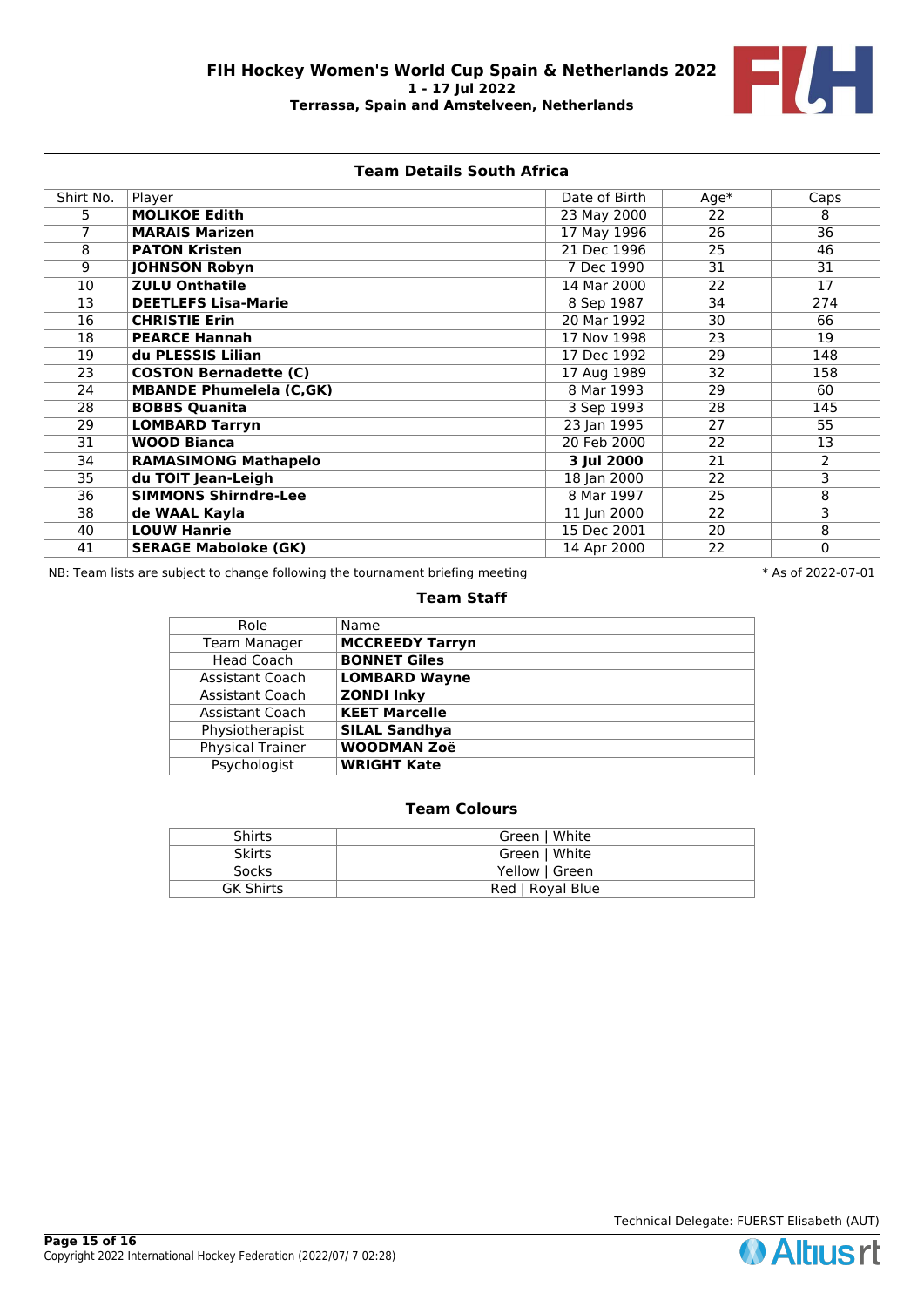

# **Team Details South Africa**

| Shirt No. | Player                         | Date of Birth | $Age*$ | Caps           |
|-----------|--------------------------------|---------------|--------|----------------|
| 5.        | <b>MOLIKOE Edith</b>           | 23 May 2000   | 22     | 8              |
| 7         | <b>MARAIS Marizen</b>          | 17 May 1996   | 26     | 36             |
| 8         | <b>PATON Kristen</b>           | 21 Dec 1996   | 25     | 46             |
| 9         | <b>JOHNSON Robyn</b>           | 7 Dec 1990    | 31     | 31             |
| 10        | <b>ZULU Onthatile</b>          | 14 Mar 2000   | 22     | 17             |
| 13        | <b>DEETLEFS Lisa-Marie</b>     | 8 Sep 1987    | 34     | 274            |
| 16        | <b>CHRISTIE Erin</b>           | 20 Mar 1992   | 30     | 66             |
| 18        | <b>PEARCE Hannah</b>           | 17 Nov 1998   | 23     | 19             |
| 19        | du PLESSIS Lilian              | 17 Dec 1992   | 29     | 148            |
| 23        | <b>COSTON Bernadette (C)</b>   | 17 Aug 1989   | 32     | 158            |
| 24        | <b>MBANDE Phumelela (C,GK)</b> | 8 Mar 1993    | 29     | 60             |
| 28        | <b>BOBBS Quanita</b>           | 3 Sep 1993    | 28     | 145            |
| 29        | <b>LOMBARD Tarryn</b>          | 23 Jan 1995   | 27     | 55             |
| 31        | <b>WOOD Bianca</b>             | 20 Feb 2000   | 22     | 13             |
| 34        | <b>RAMASIMONG Mathapelo</b>    | 3 Jul 2000    | 21     | $\overline{2}$ |
| 35        | du TOIT Jean-Leigh             | 18 Jan 2000   | 22     | 3              |
| 36        | <b>SIMMONS Shirndre-Lee</b>    | 8 Mar 1997    | 25     | 8              |
| 38        | de WAAL Kayla                  | 11 Jun 2000   | 22     | 3              |
| 40        | <b>LOUW Hanrie</b>             | 15 Dec 2001   | 20     | 8              |
| 41        | <b>SERAGE Maboloke (GK)</b>    | 14 Apr 2000   | 22     | $\mathbf 0$    |

NB: Team lists are subject to change following the tournament briefing meeting **the set of 2022-07-01** \* As of 2022-07-01

### **Team Staff**

| Role                   | Name                   |
|------------------------|------------------------|
| <b>Team Manager</b>    | <b>MCCREEDY Tarryn</b> |
| <b>Head Coach</b>      | <b>BONNET Giles</b>    |
| Assistant Coach        | <b>LOMBARD Wayne</b>   |
| <b>Assistant Coach</b> | <b>ZONDI Inky</b>      |
| <b>Assistant Coach</b> | <b>KEET Marcelle</b>   |
| Physiotherapist        | <b>SILAL Sandhya</b>   |
| Physical Trainer       | <b>WOODMAN Zoë</b>     |
| Psychologist           | <b>WRIGHT Kate</b>     |
|                        |                        |

# **Team Colours**

| <b>Shirts</b>    | Green   White    |
|------------------|------------------|
| <b>Skirts</b>    | Green   White    |
| Socks            | Yellow   Green   |
| <b>GK Shirts</b> | Red   Royal Blue |